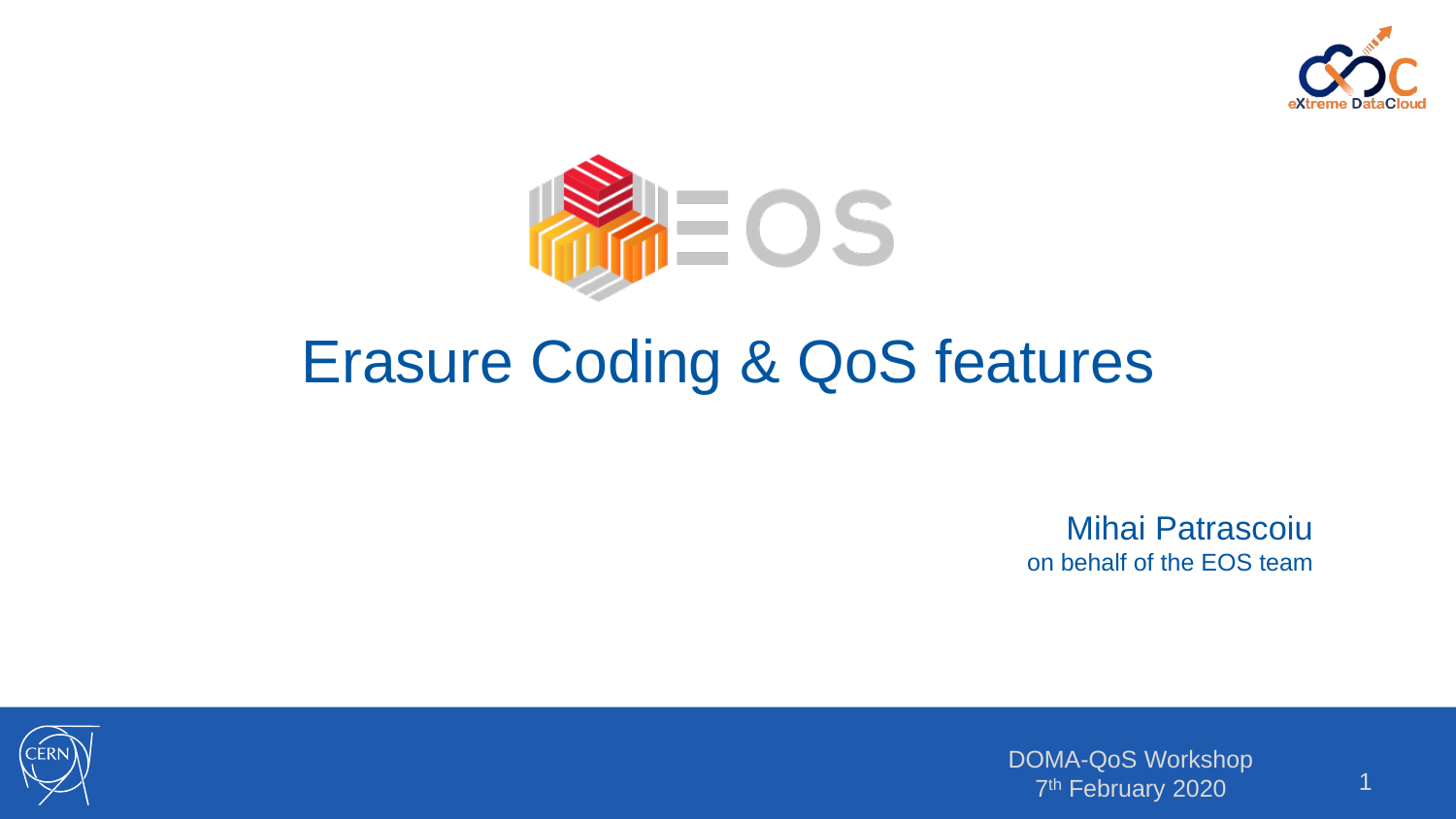



# Erasure Coding & QoS features

Mihai Patrascoiu on behalf of the EOS team

DOMA-QoS Workshop 7<sup>th</sup> February 2020<sup>1</sup>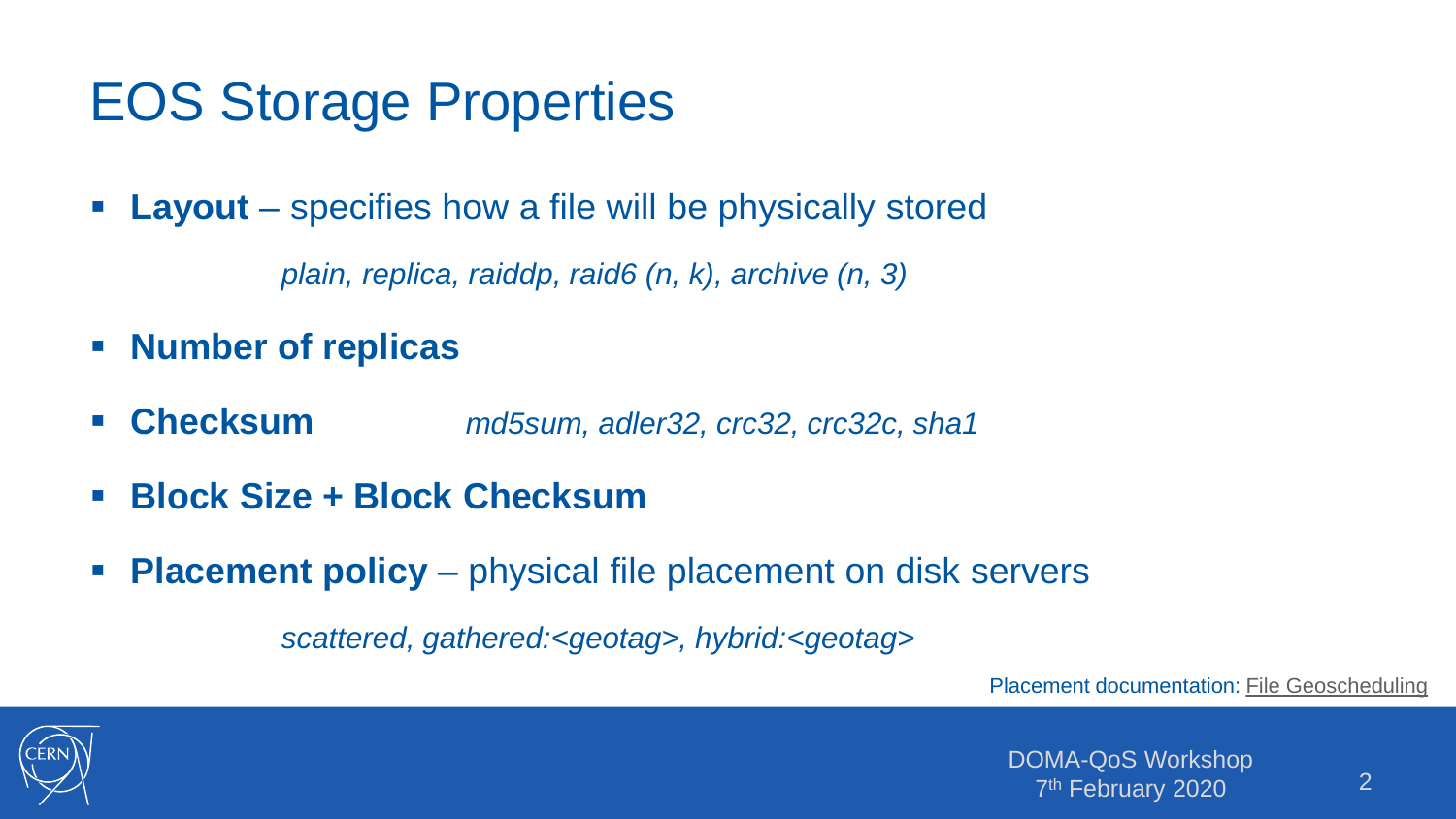# EOS Storage Properties

**Layout** – specifies how a file will be physically stored

*plain, replica, raiddp, raid6 (n, k), archive (n, 3)*

- **Number of replicas**
- **Checksum** *md5sum, adler32, crc32, crc32c, sha1*
- **Block Size + Block Checksum**
- **Placement policy** physical file placement on disk servers

*scattered, gathered:<geotag>, hybrid:<geotag>*

Placement documentation: [File Geoscheduling](http://eos-docs.web.cern.ch/eos-docs/configuration/geoscheduling.html)

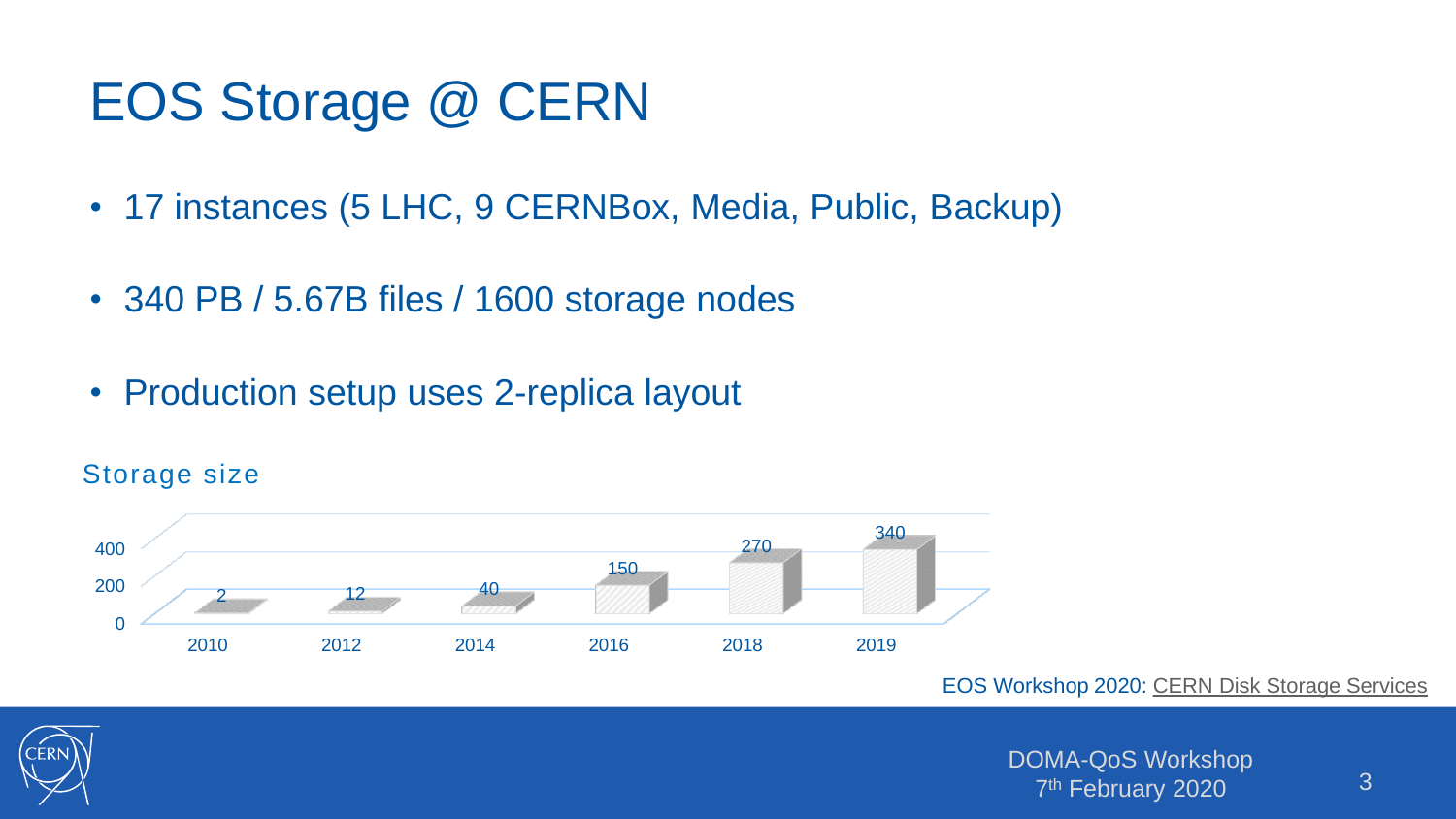# EOS Storage @ CERN

- 17 instances (5 LHC, 9 CERNBox, Media, Public, Backup)
- 340 PB / 5.67B files / 1600 storage nodes
- Production setup uses 2-replica layout



#### Storage size

EOS Workshop 2020: [CERN Disk Storage Services](https://indico.cern.ch/event/862873/contributions/3724453/attachments/1980065/3296994/CERN_IT_Disk_Storage_Services.pdf)



DOMA-QoS Workshop 7<sup>th</sup> February 2020 <sup>1</sup> 2020 13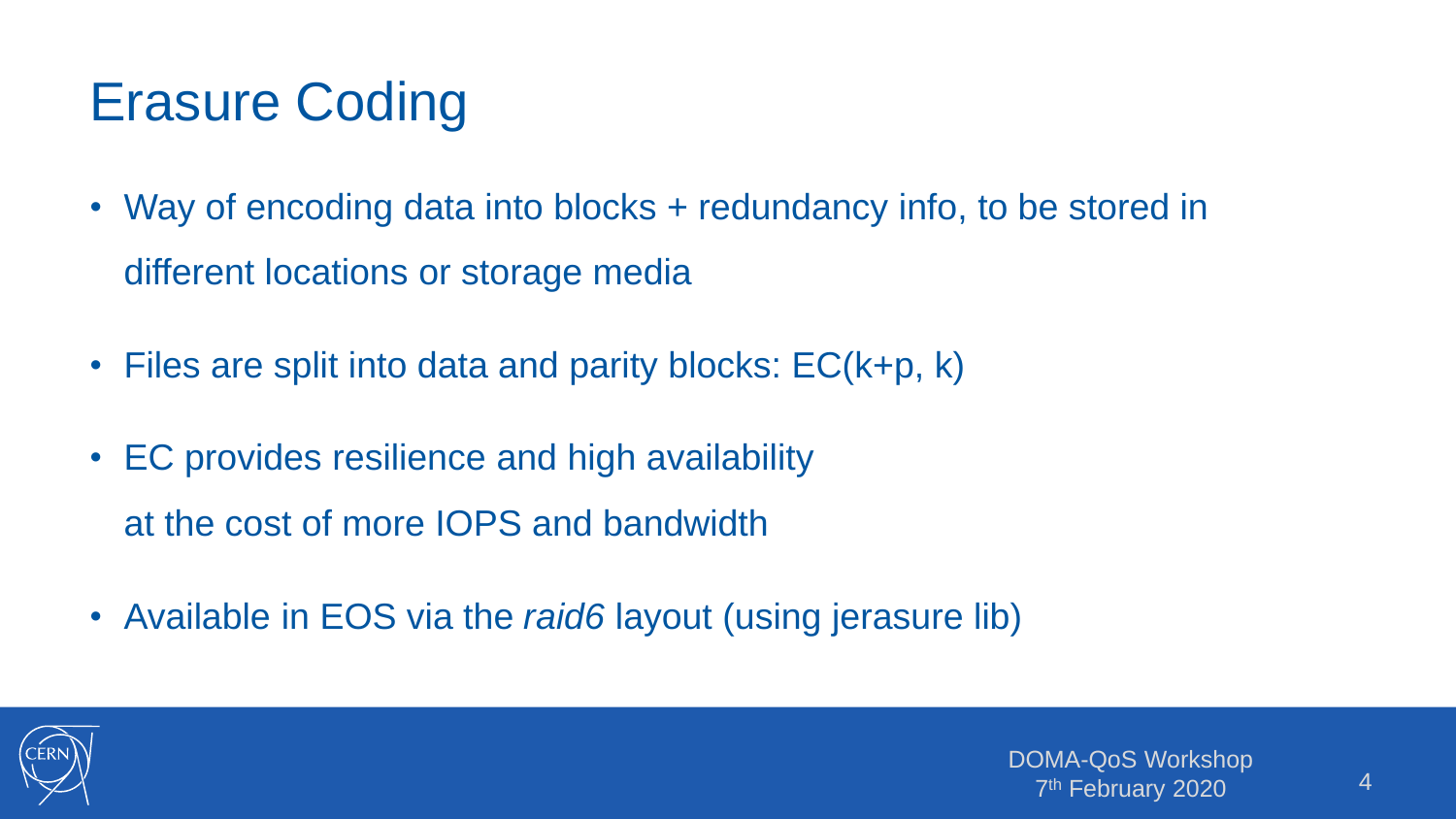# Erasure Coding

- Way of encoding data into blocks + redundancy info, to be stored in different locations or storage media
- Files are split into data and parity blocks: EC(k+p, k)
- EC provides resilience and high availability at the cost of more IOPS and bandwidth
- Available in EOS via the *raid6* layout (using jerasure lib)

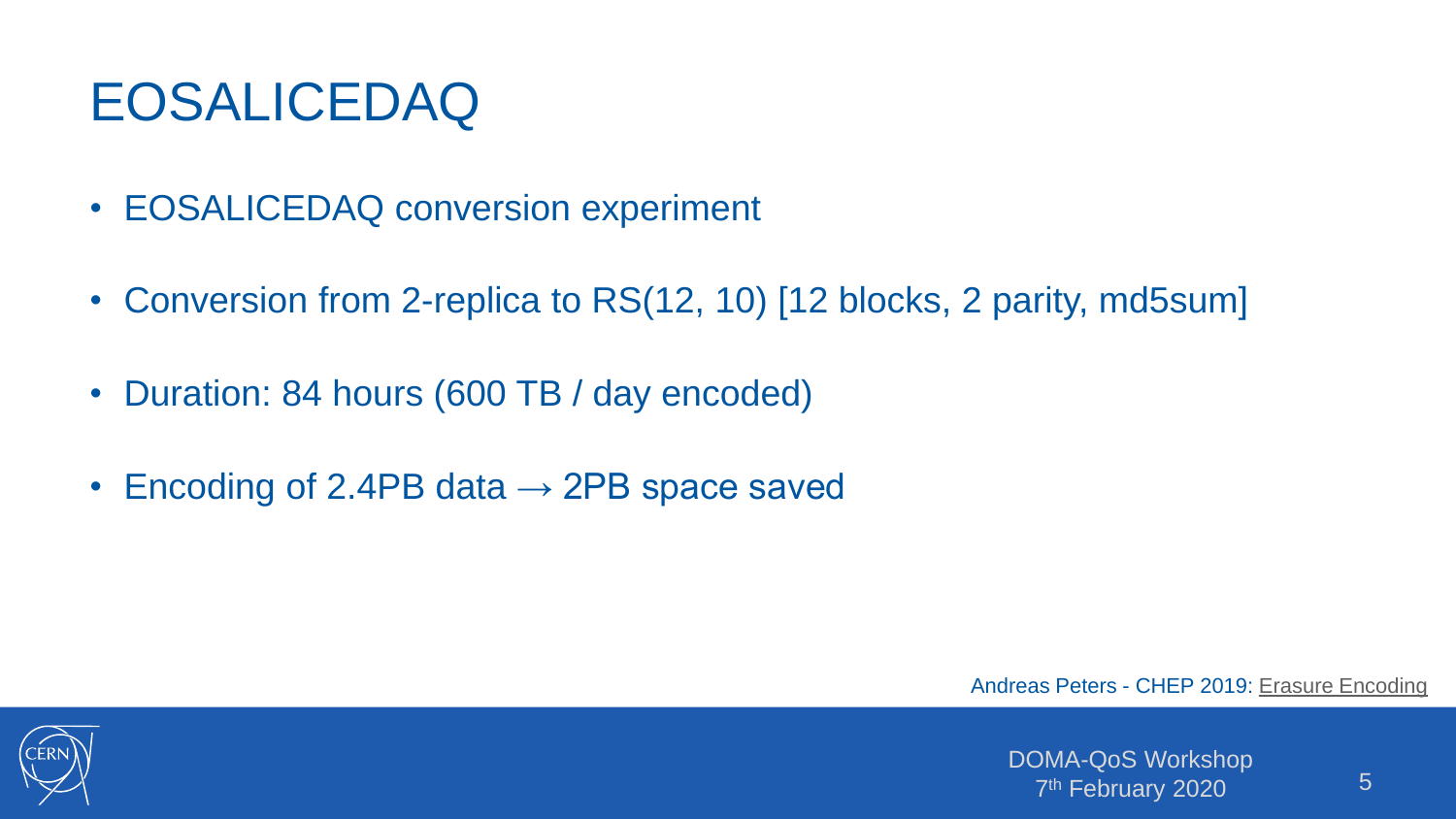# EOSALICEDAQ

- EOSALICEDAQ conversion experiment
- Conversion from 2-replica to RS(12, 10) [12 blocks, 2 parity, md5sum]
- Duration: 84 hours (600 TB / day encoded)
- Encoding of 2.4PB data  $\rightarrow$  2PB space saved

Andreas Peters - CHEP 2019: [Erasure Encoding](https://indico.cern.ch/event/773049/contributions/3474421/attachments/1940055/3217488/CHEP_2019_EC_Presentation.pdf)

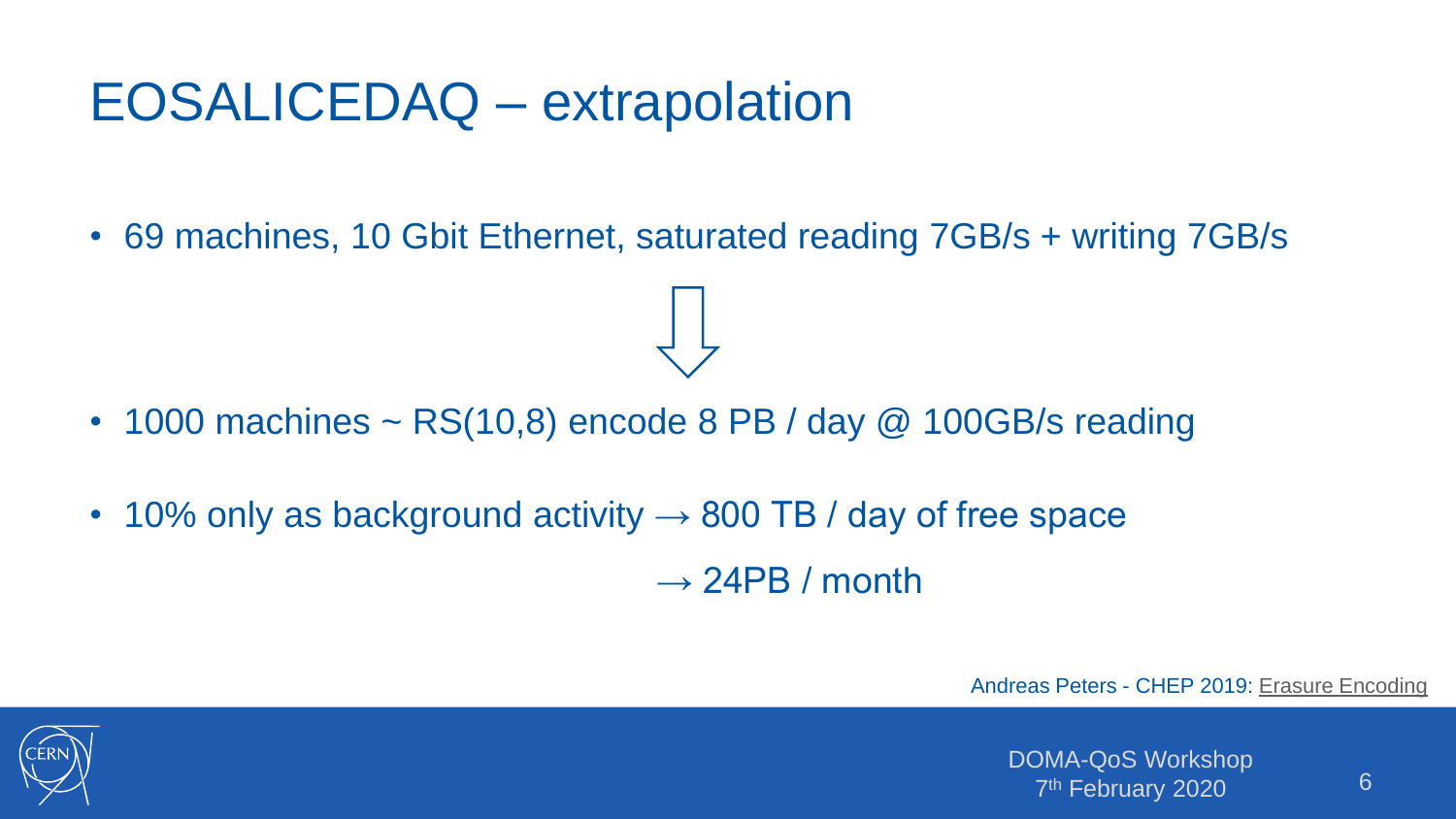### EOSALICEDAQ – extrapolation

• 69 machines, 10 Gbit Ethernet, saturated reading 7GB/s + writing 7GB/s

- 1000 machines  $\sim$  RS(10,8) encode 8 PB / day @ 100GB/s reading
- 10% only as background activity  $\rightarrow$  800 TB / day of free space  $\rightarrow$  24PB / month

Andreas Peters - CHEP 2019: [Erasure Encoding](https://indico.cern.ch/event/773049/contributions/3474421/attachments/1940055/3217488/CHEP_2019_EC_Presentation.pdf)

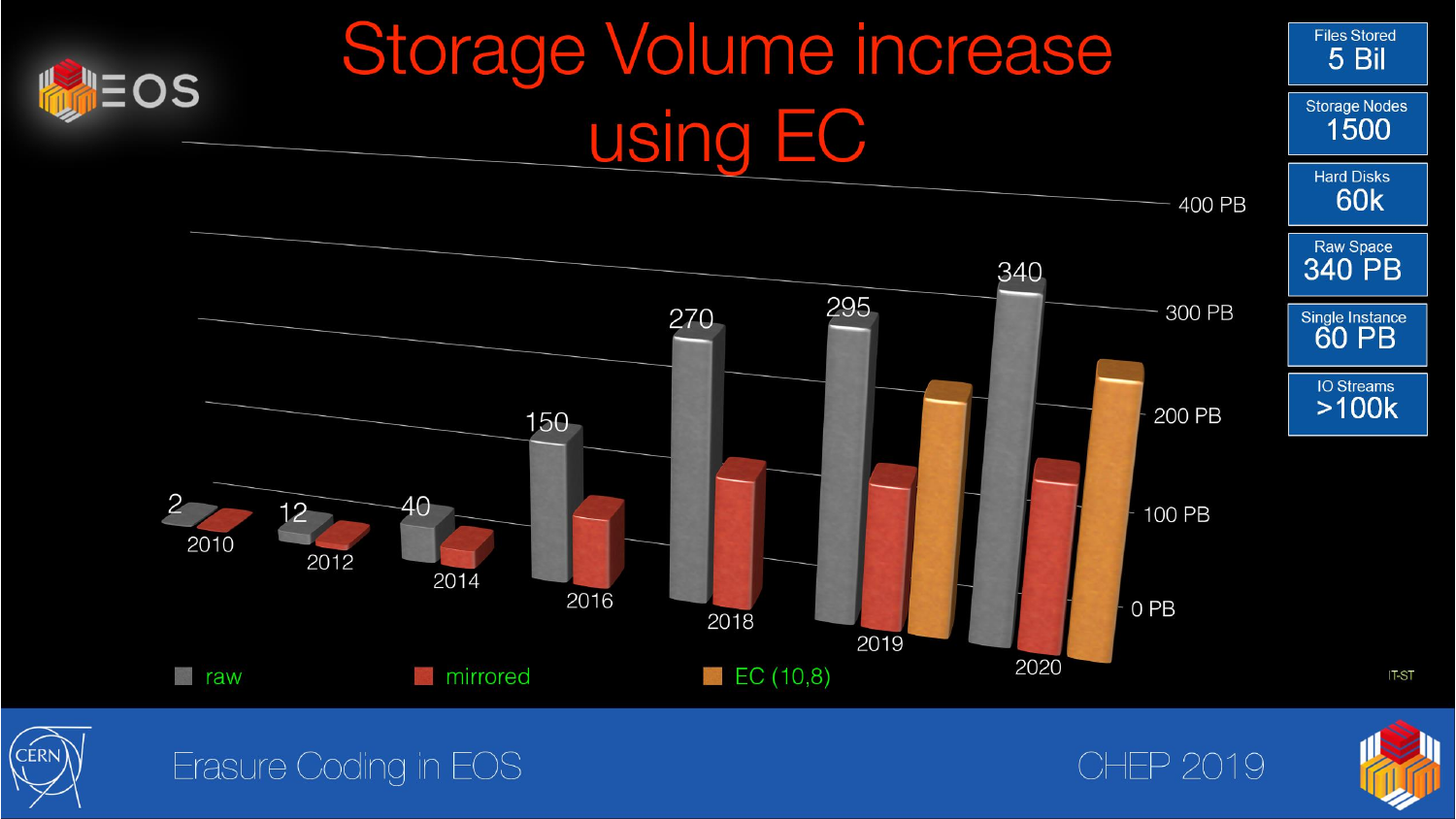



#### Erasure Coding in EOS

**CHEP 2019** 

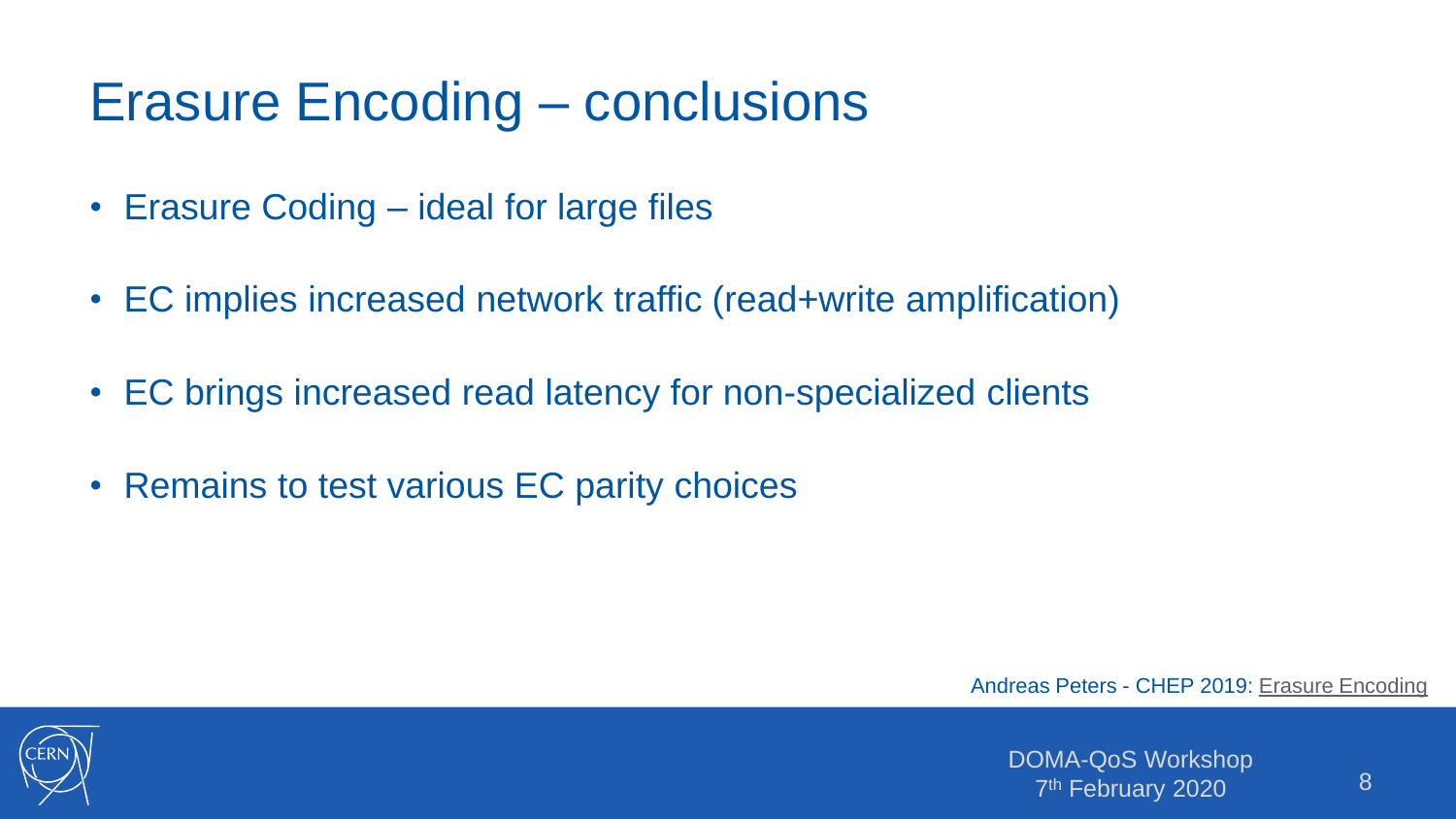# Erasure Encoding – conclusions

- Erasure Coding ideal for large files
- EC implies increased network traffic (read+write amplification)
- EC brings increased read latency for non-specialized clients
- Remains to test various EC parity choices

Andreas Peters - CHEP 2019: [Erasure Encoding](https://indico.cern.ch/event/773049/contributions/3474421/attachments/1940055/3217488/CHEP_2019_EC_Presentation.pdf)

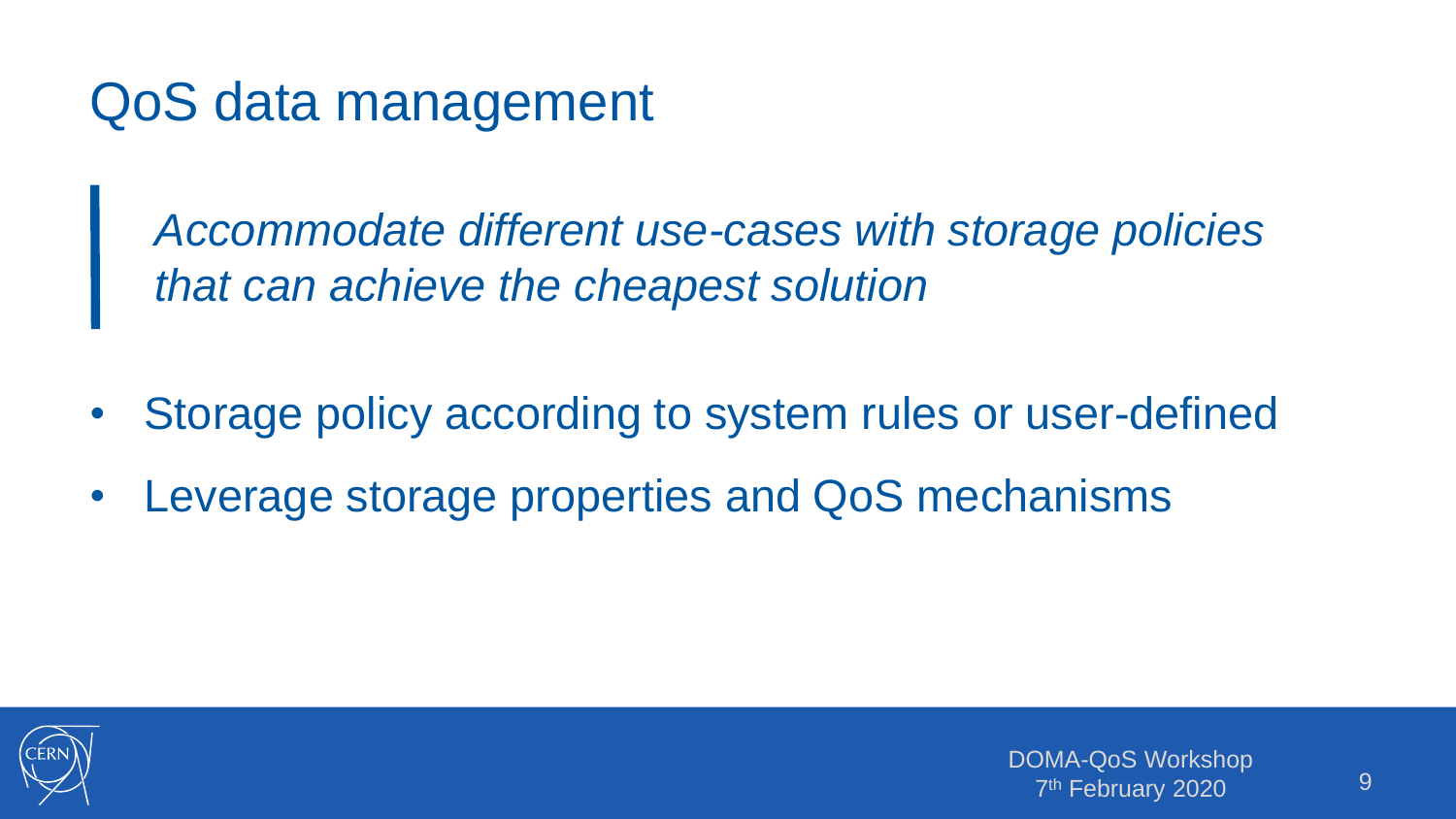QoS data management

*Accommodate different use-cases with storage policies that can achieve the cheapest solution*

- Storage policy according to system rules or user-defined
- Leverage storage properties and QoS mechanisms

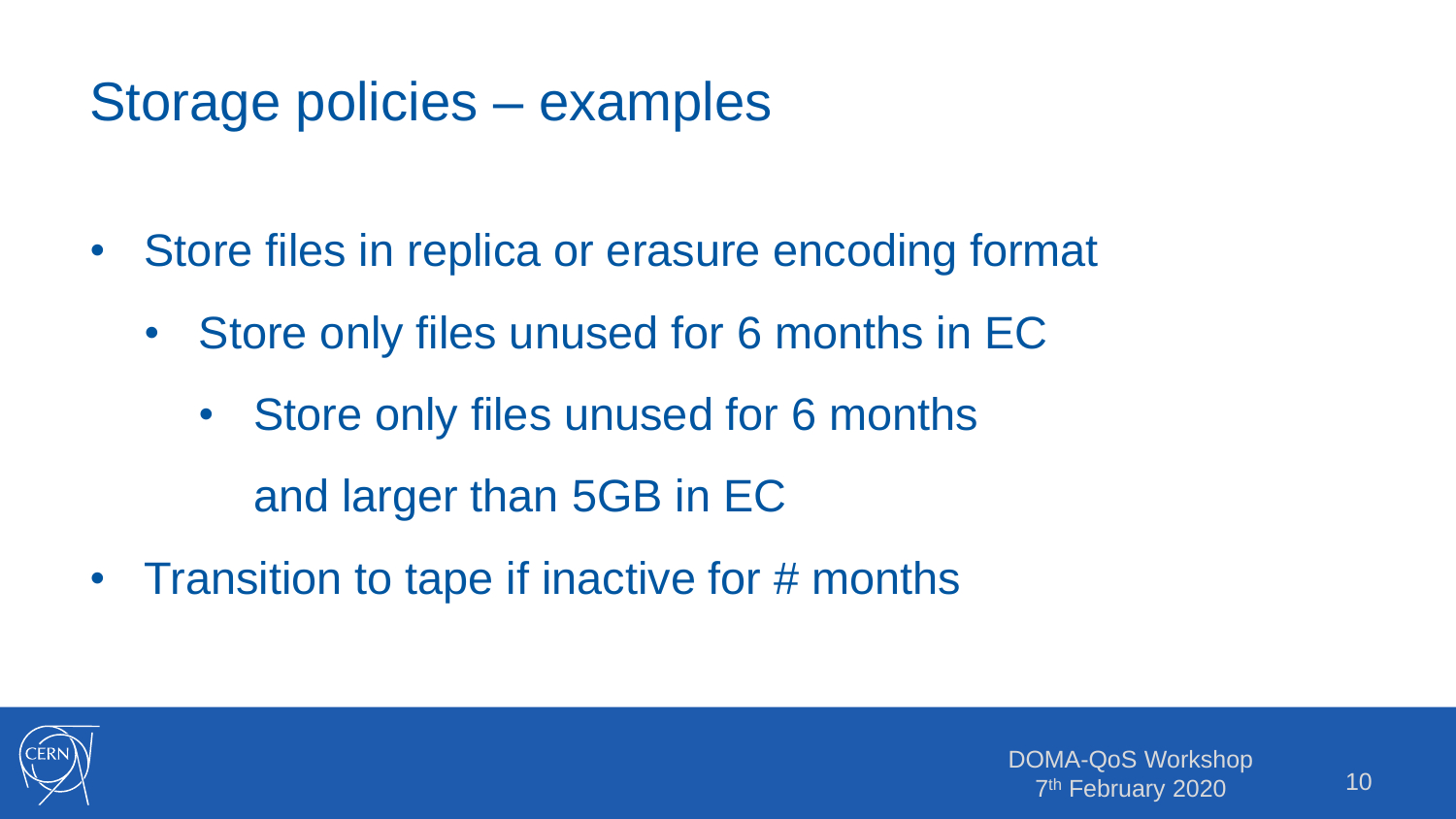## Storage policies – examples

- Store files in replica or erasure encoding format
	- Store only files unused for 6 months in EC
		- Store only files unused for 6 months and larger than 5GB in EC
- Transition to tape if inactive for # months

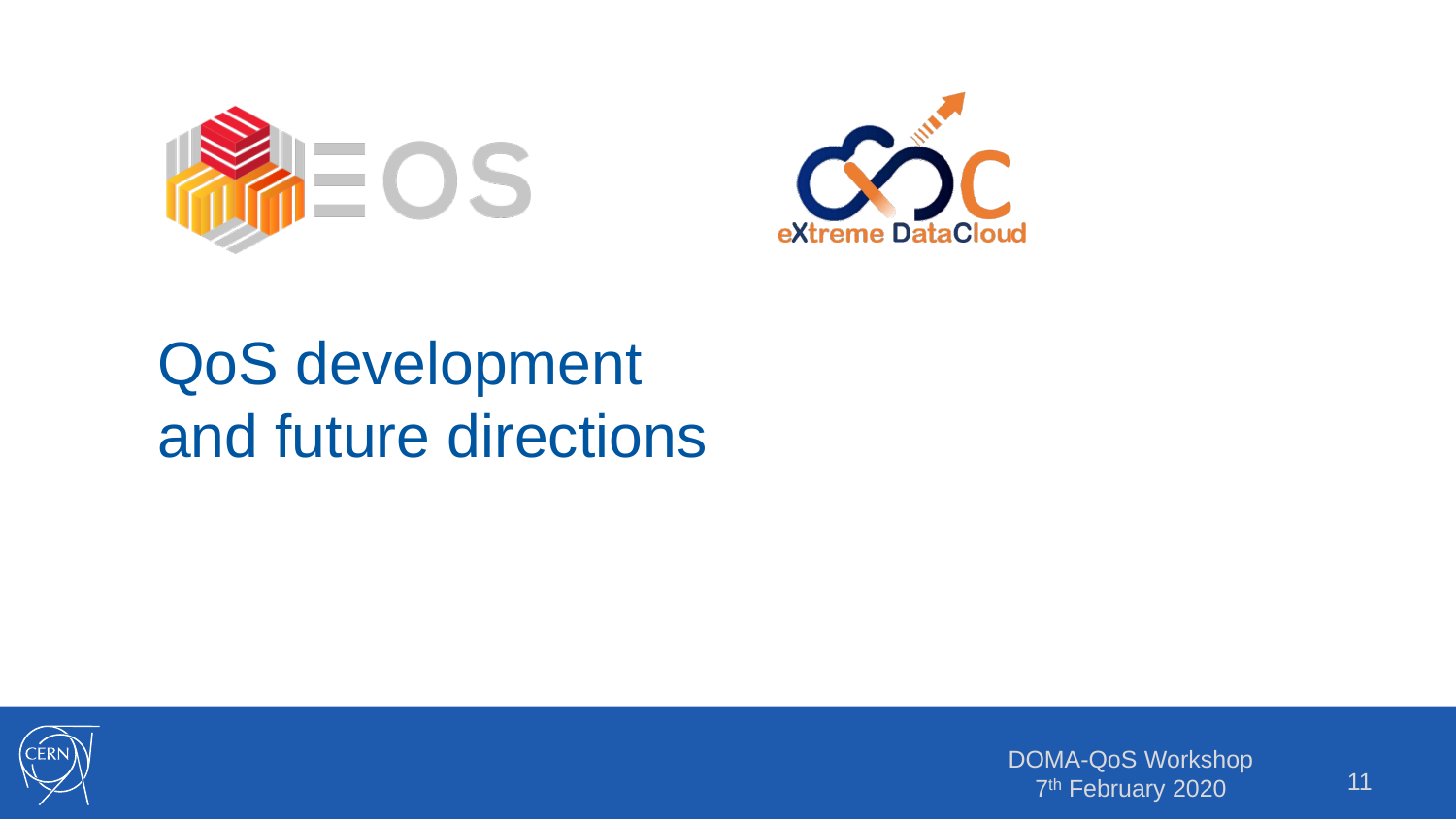



# QoS development and future directions



DOMA-QoS Workshop 7<sup>th</sup> February 2020<sup>1</sup> 11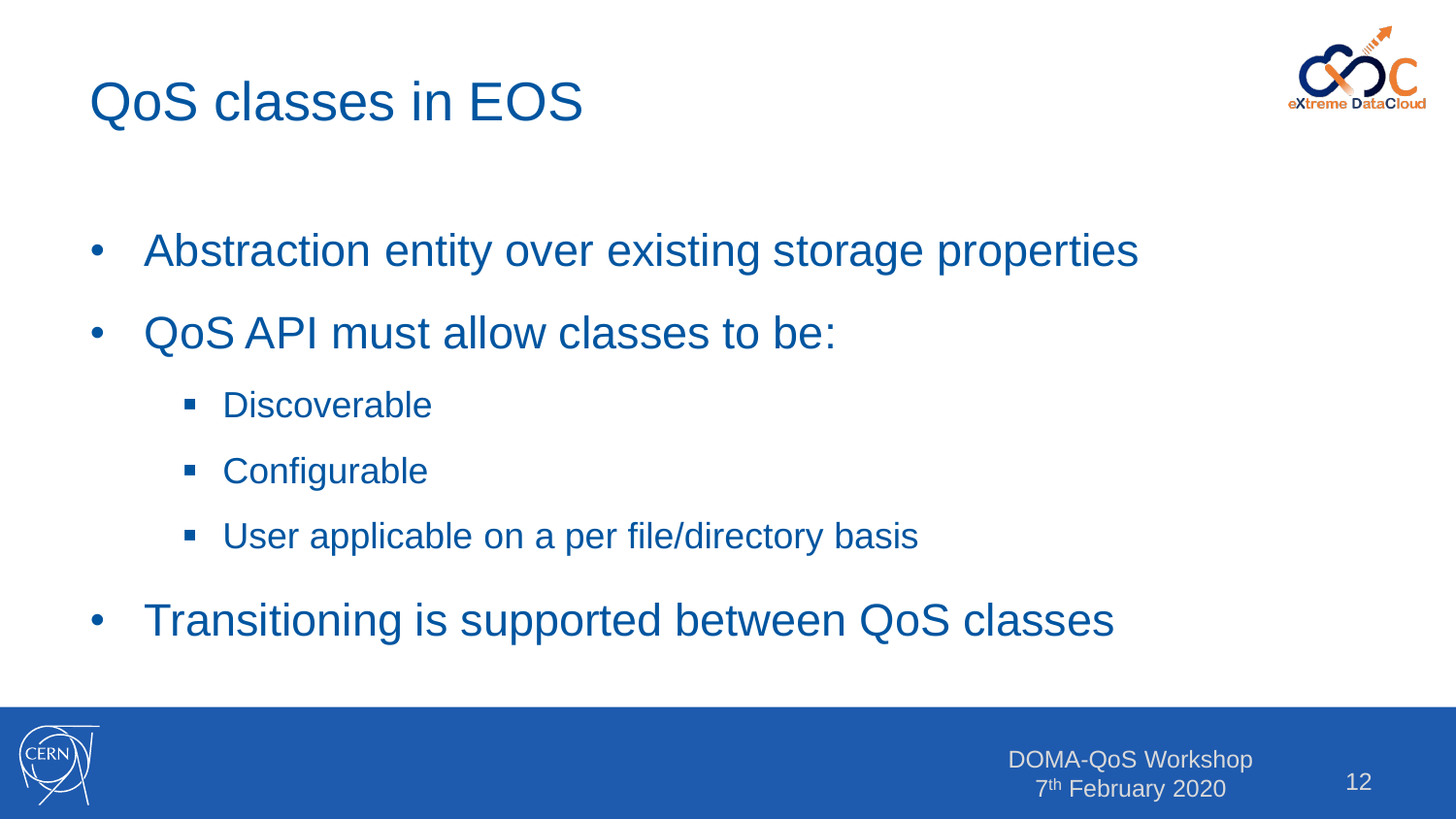

# QoS classes in EOS

- Abstraction entity over existing storage properties
- QoS API must allow classes to be:
	- **-** Discoverable
	- Configurable
	- **User applicable on a per file/directory basis**
- Transitioning is supported between QoS classes

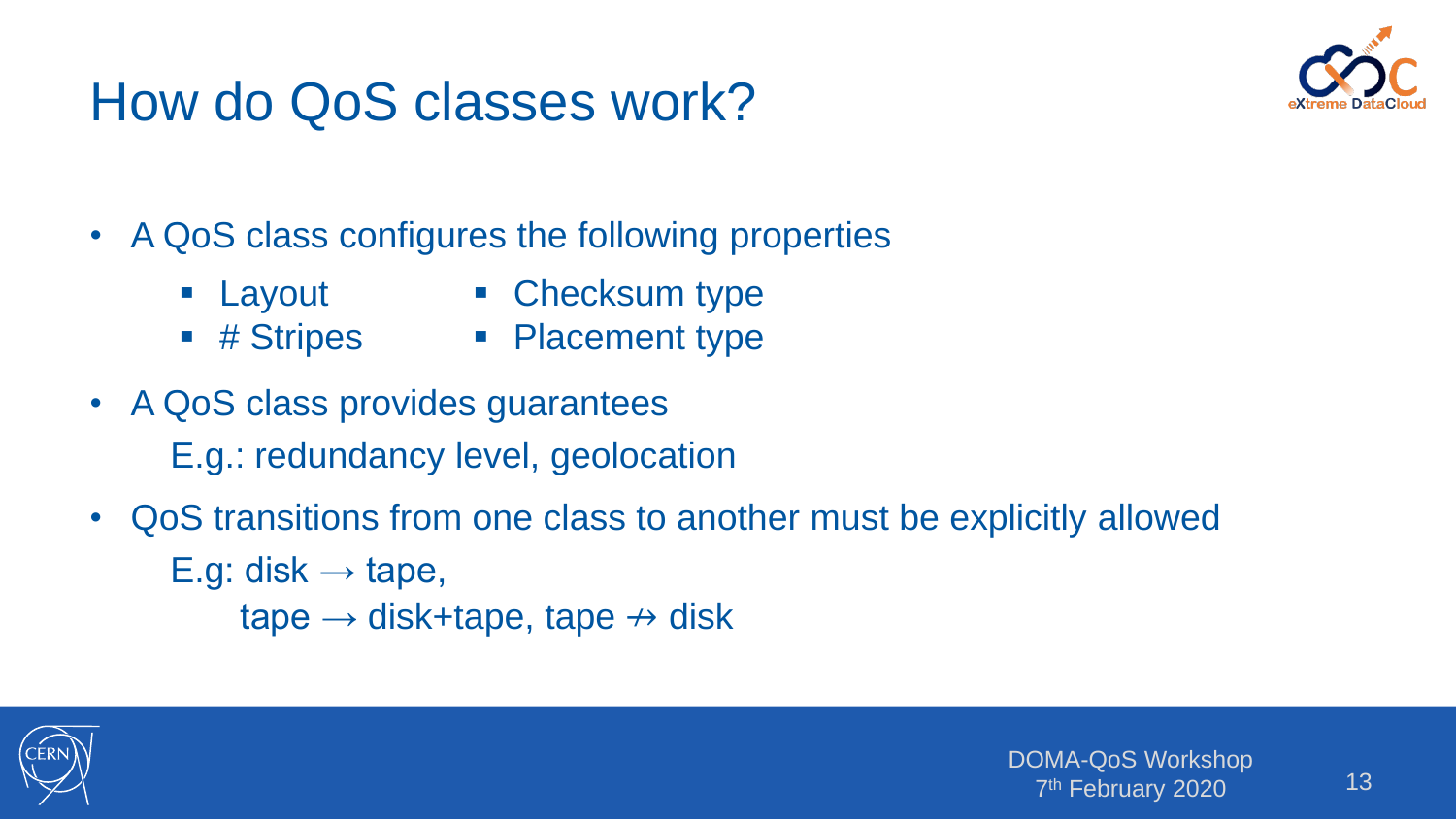# How do QoS classes work?



- A QoS class configures the following properties
	- Layout
- Checksum type
- # Stripes
- Placement type
- A QoS class provides guarantees E.g.: redundancy level, geolocation
- QoS transitions from one class to another must be explicitly allowed E.g: disk  $\rightarrow$  tape, tape  $\rightarrow$  disk+tape, tape  $\nrightarrow$  disk

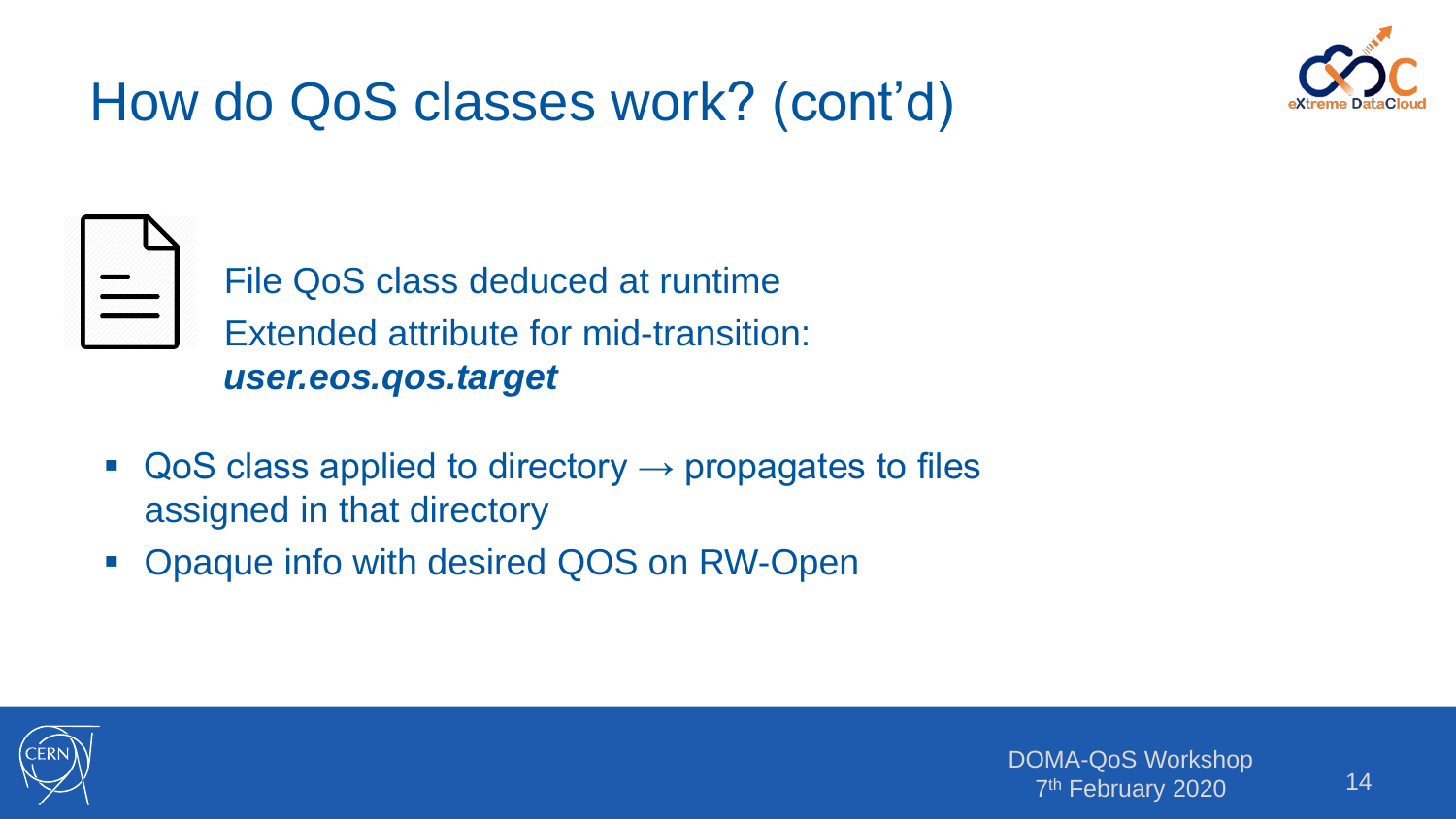

# How do QoS classes work? (cont'd)



File QoS class deduced at runtime Extended attribute for mid-transition: *user.eos.qos.target*

- $\blacksquare$  QoS class applied to directory  $\rightarrow$  propagates to files assigned in that directory
- Opaque info with desired QOS on RW-Open

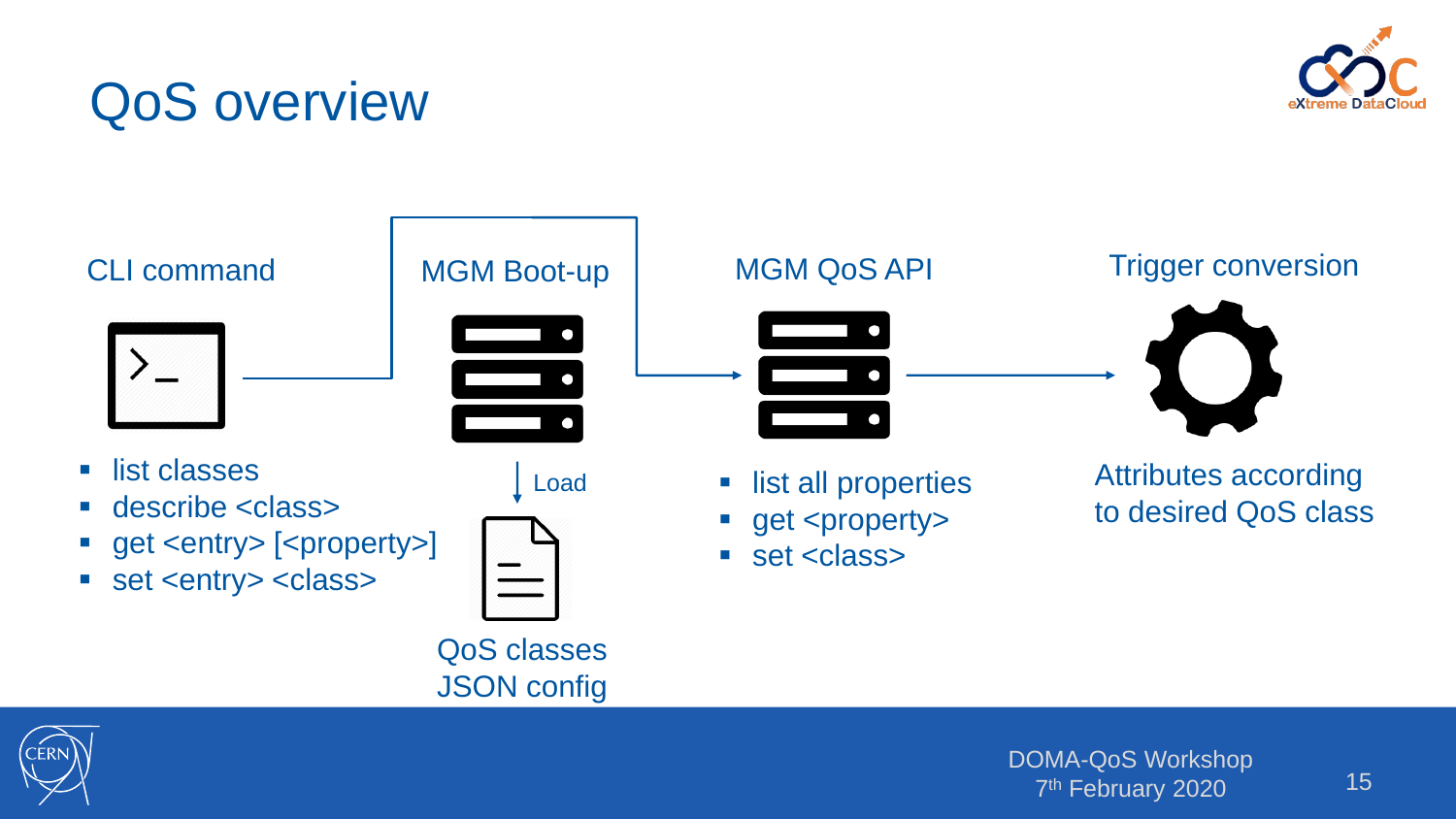## QoS overview





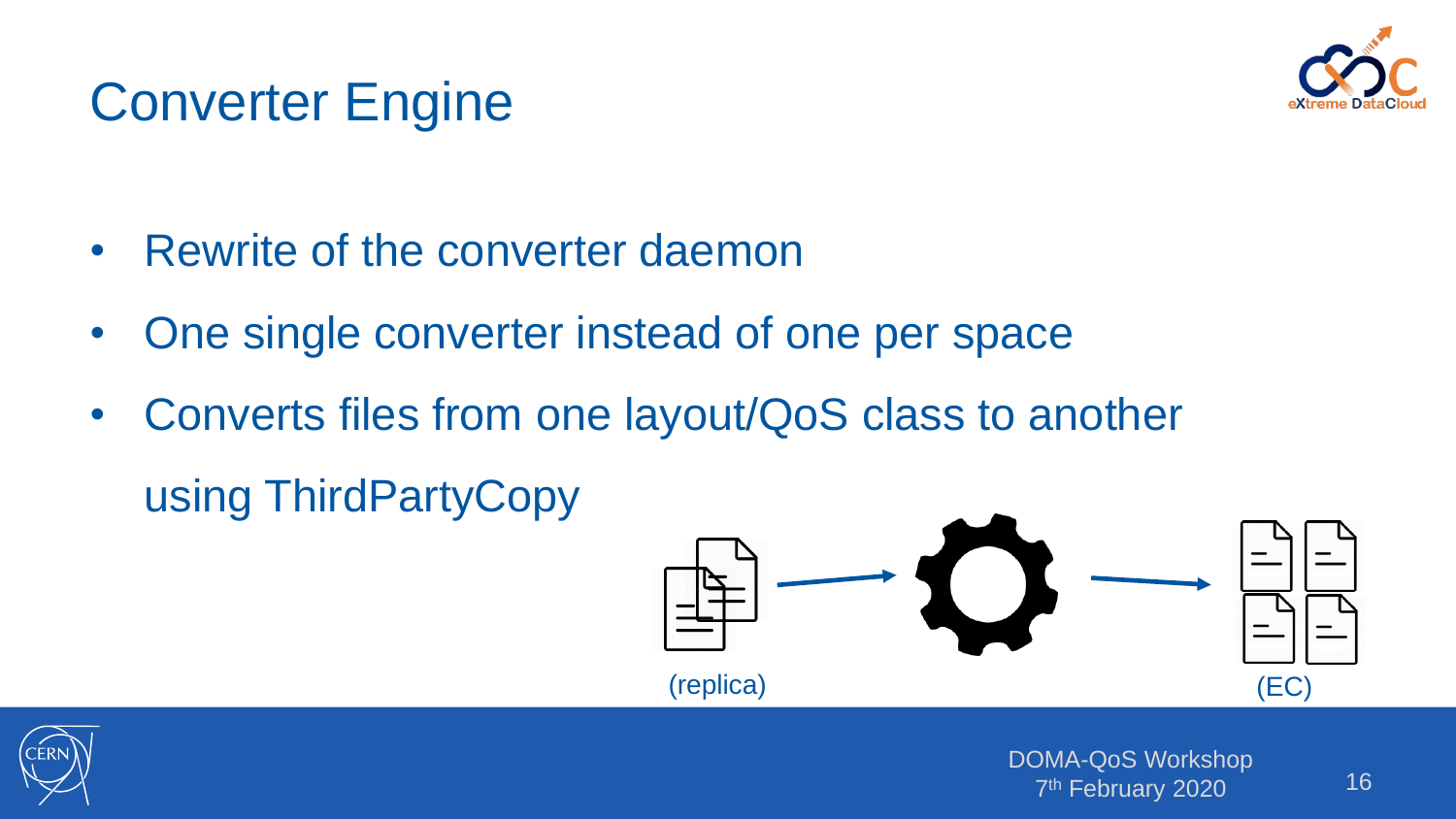

# Converter Engine

- Rewrite of the converter daemon
- One single converter instead of one per space
- Converts files from one layout/QoS class to another using ThirdPartyCopy



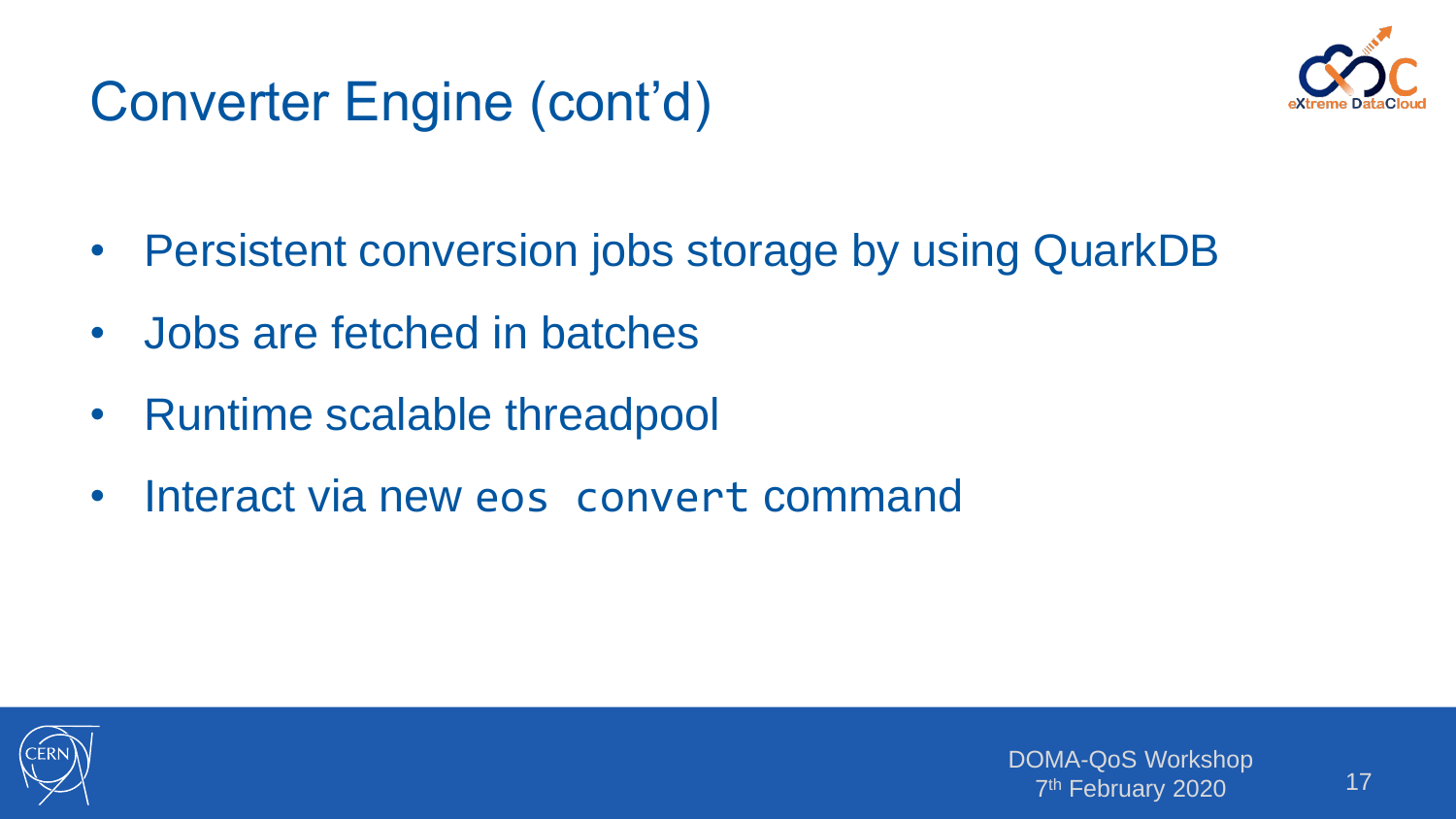# Converter Engine (cont'd)



- Persistent conversion jobs storage by using QuarkDB
- Jobs are fetched in batches
- Runtime scalable threadpool
- Interact via new eos convert command

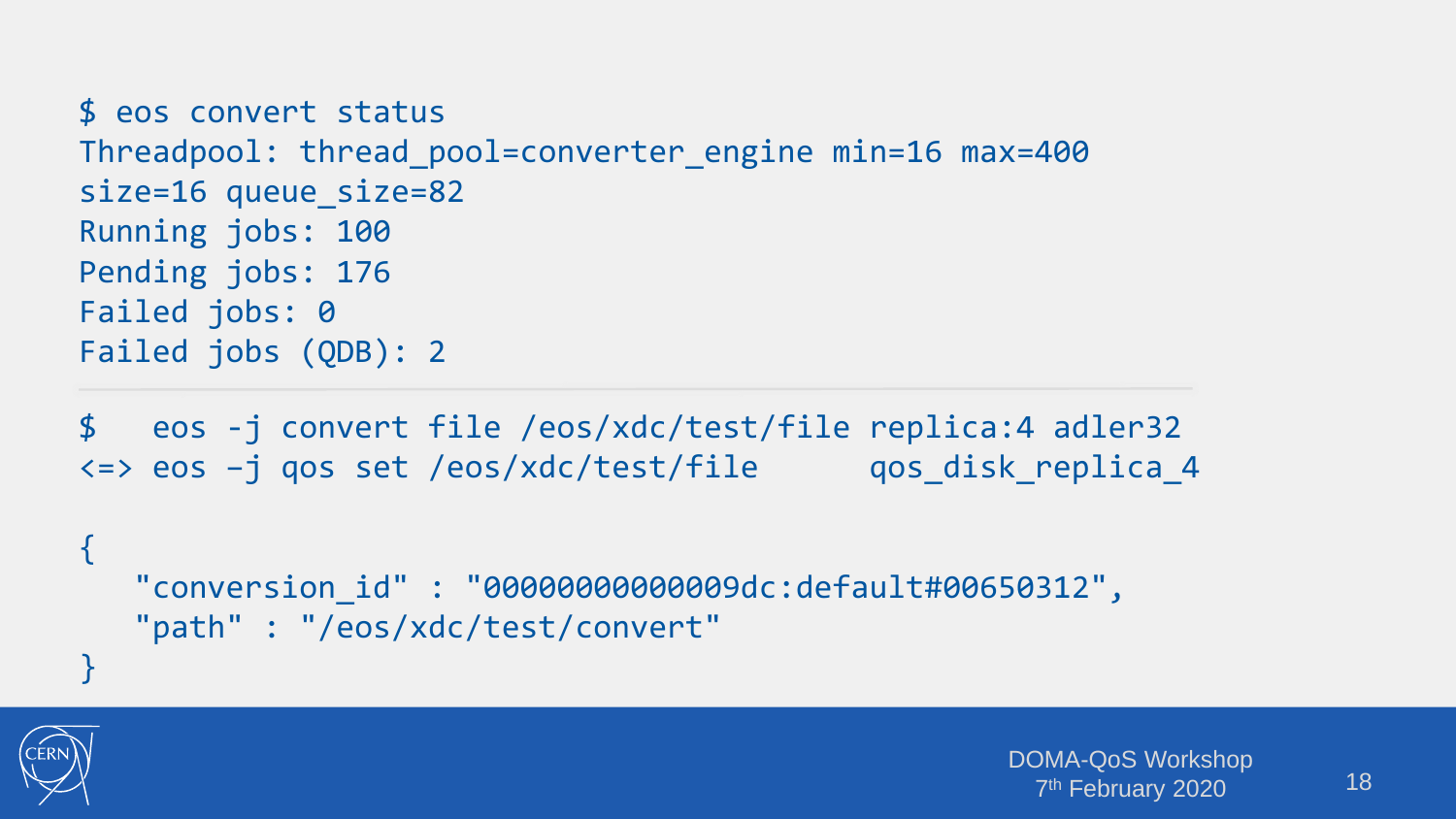```
$ eos convert status
Threadpool: thread_pool=converter_engine min=16 max=400 
size=16 queue size=82
Running jobs: 100
Pending jobs: 176
Failed jobs: 0
Failed jobs (QDB): 2
```
\$ eos -j convert file /eos/xdc/test/file replica:4 adler32 <=> eos –j qos set /eos/xdc/test/file qos\_disk\_replica\_4

```
"conversion_id" : "00000000000009dc:default#00650312",
"path" : "/eos/xdc/test/convert"
```


{

}

```
DOMA-QoS Workshop
  7
th February 2020
```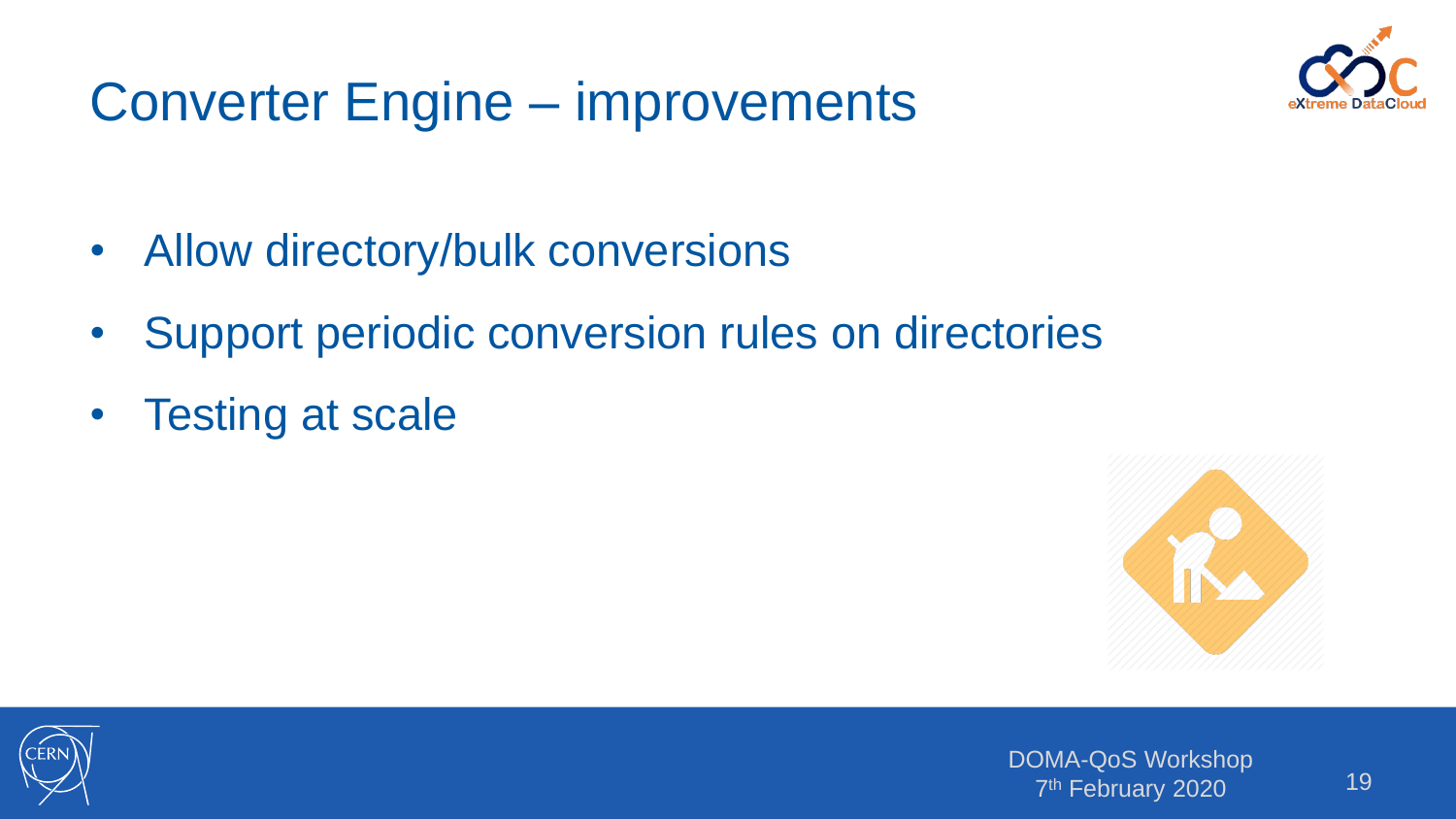# Converter Engine – improvements



- Allow directory/bulk conversions
- Support periodic conversion rules on directories
- Testing at scale



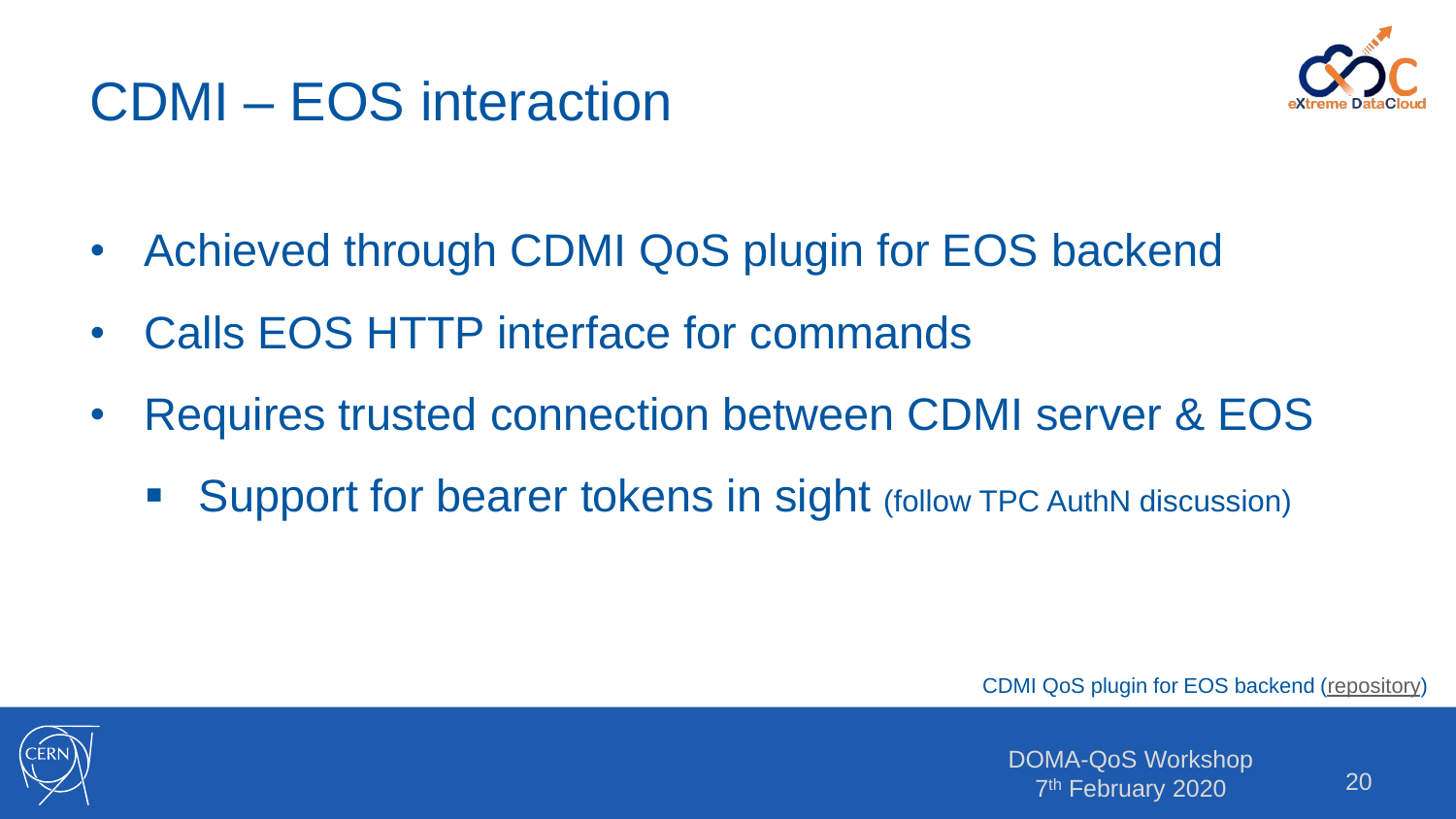### CDMI – EOS interaction



- Achieved through CDMI QoS plugin for EOS backend
- Calls EOS HTTP interface for commands
- Requires trusted connection between CDMI server & EOS
	- Support for bearer tokens in sight (follow TPC AuthN discussion)

CDMI QoS plugin for EOS backend [\(repository\)](https://github.com/cern-eos/cdmi-eos-qos)

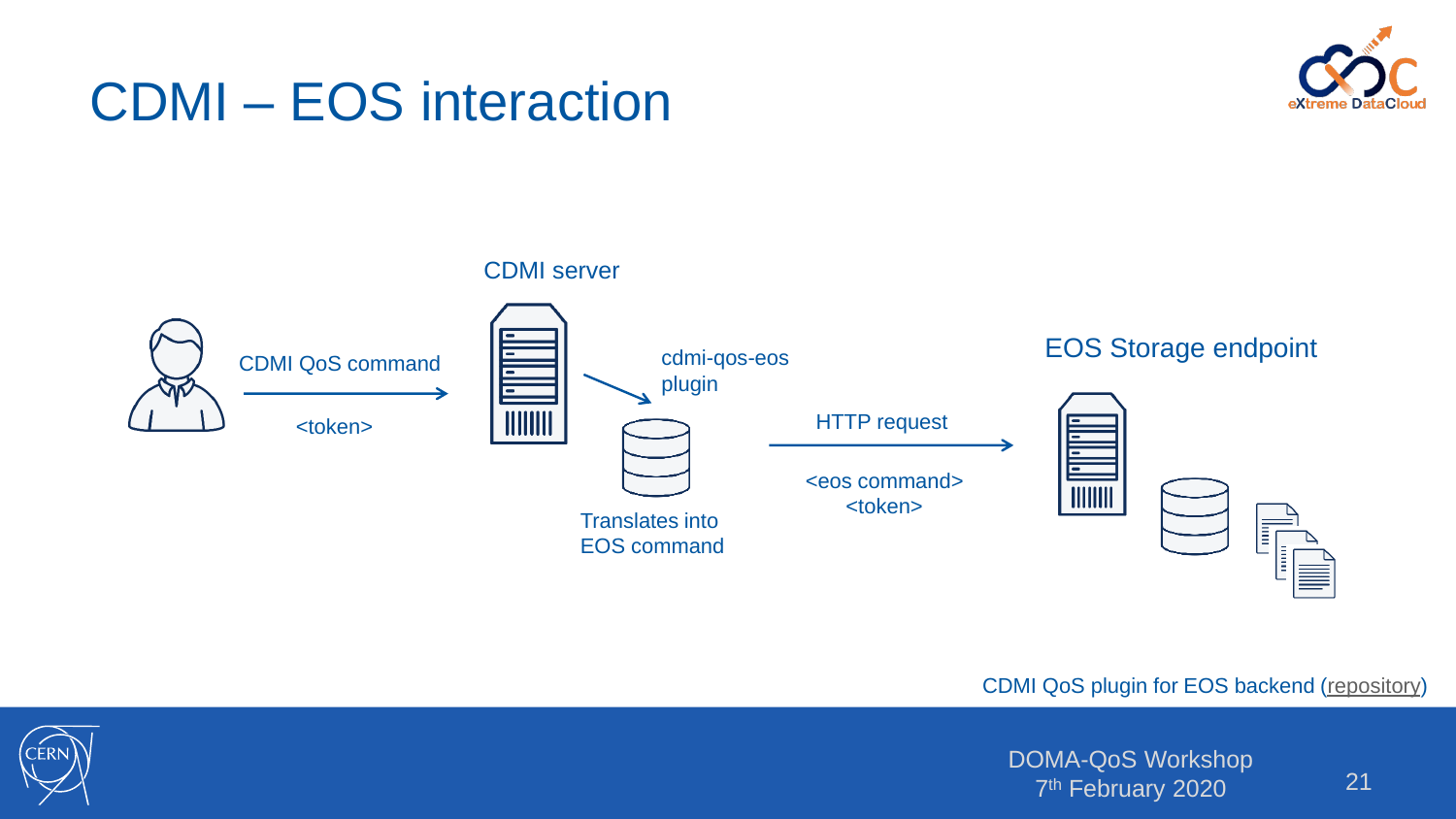#### CDMI – EOS interaction





CDMI QoS plugin for EOS backend [\(repository\)](https://github.com/cern-eos/cdmi-eos-qos)



DOMA-QoS Workshop 7<sup>th</sup> February 2020<sup>1</sup> 21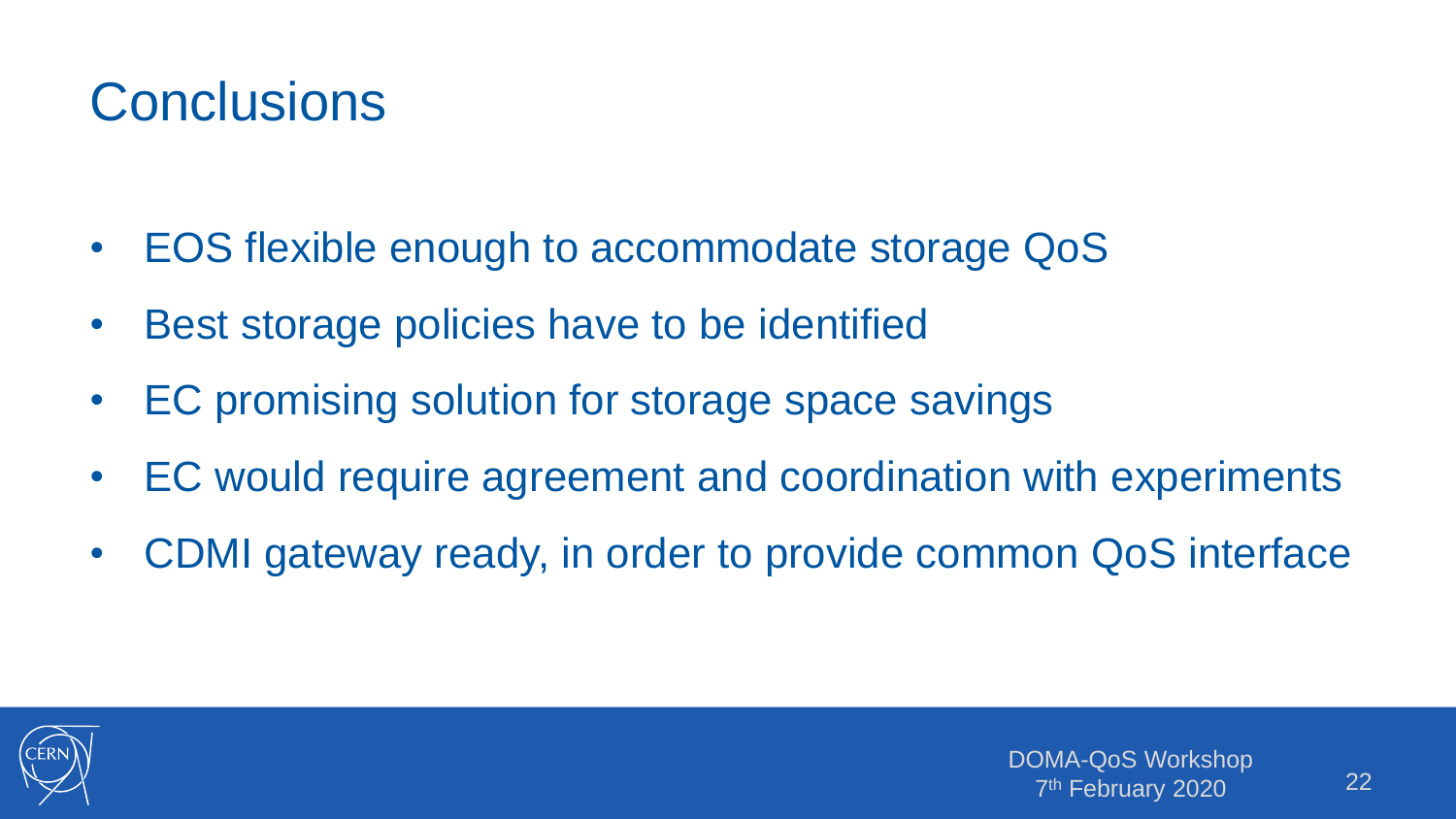# **Conclusions**

- EOS flexible enough to accommodate storage QoS
- Best storage policies have to be identified
- EC promising solution for storage space savings
- EC would require agreement and coordination with experiments
- CDMI gateway ready, in order to provide common QoS interface

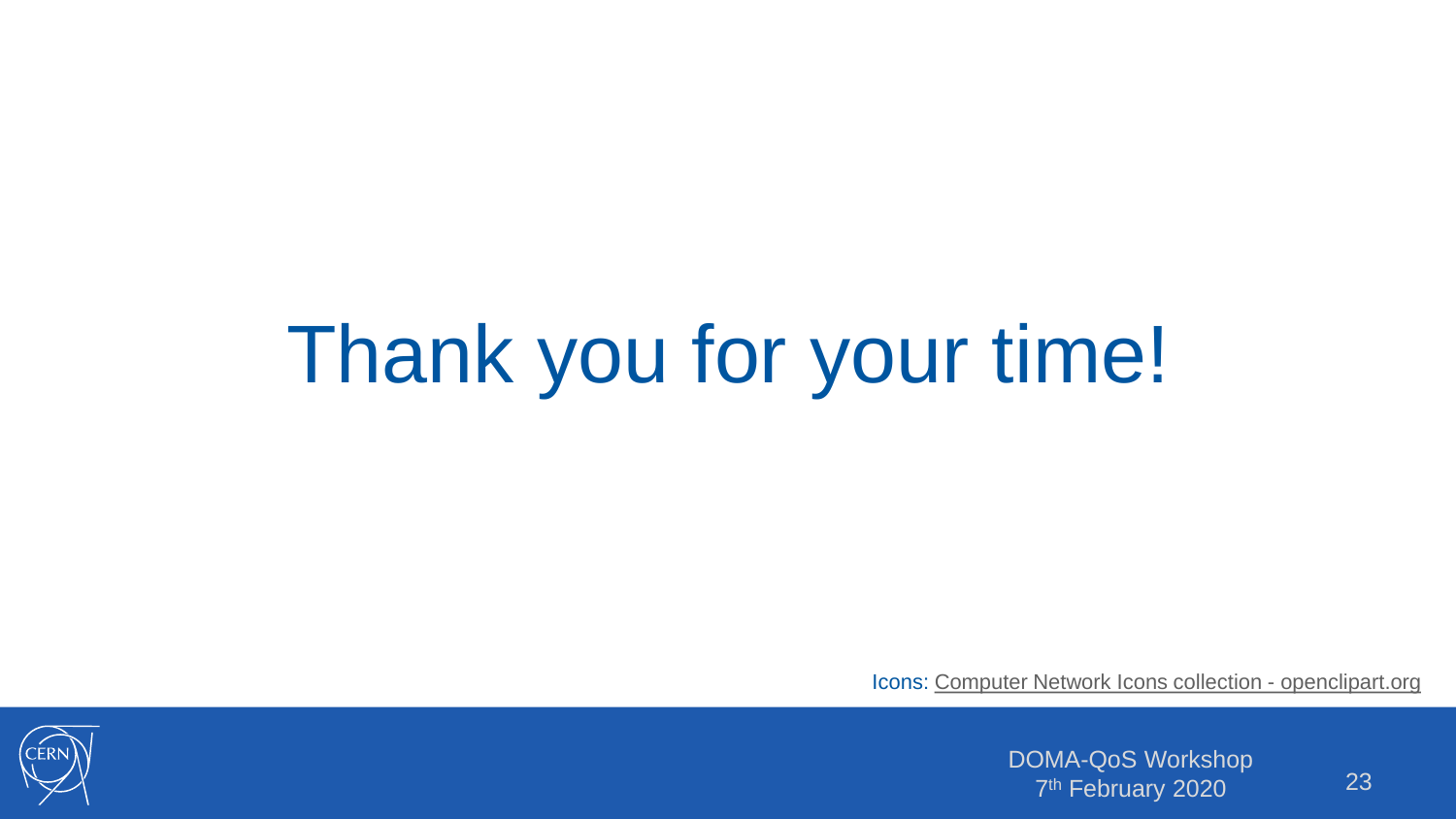# Thank you for your time!

Icons: [Computer Network Icons collection -](https://openclipart.org/detail/211416/computer-network-icons) openclipart.org



DOMA-QoS Workshop 7<sup>th</sup> February 2020<sup>1</sup> 23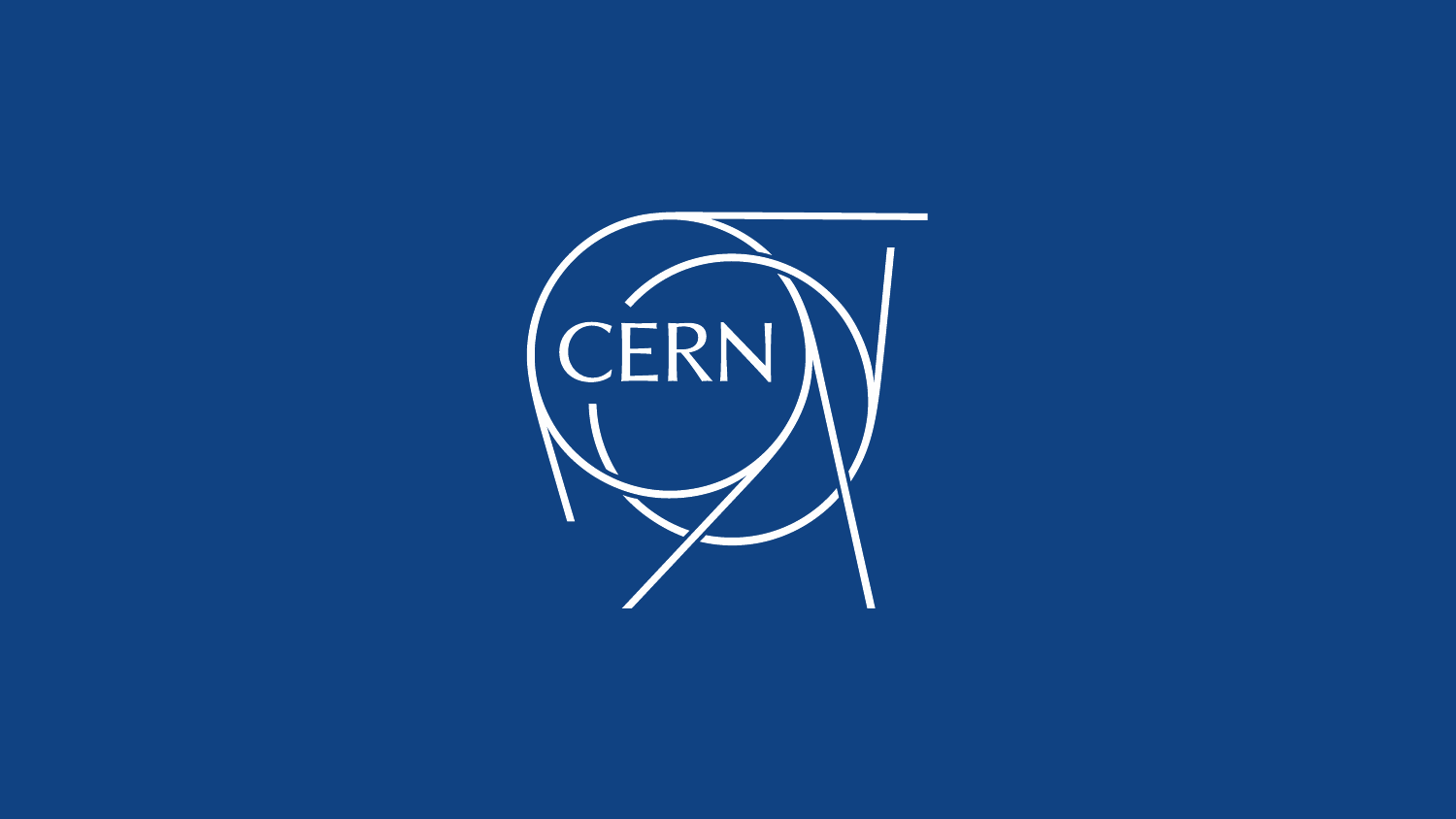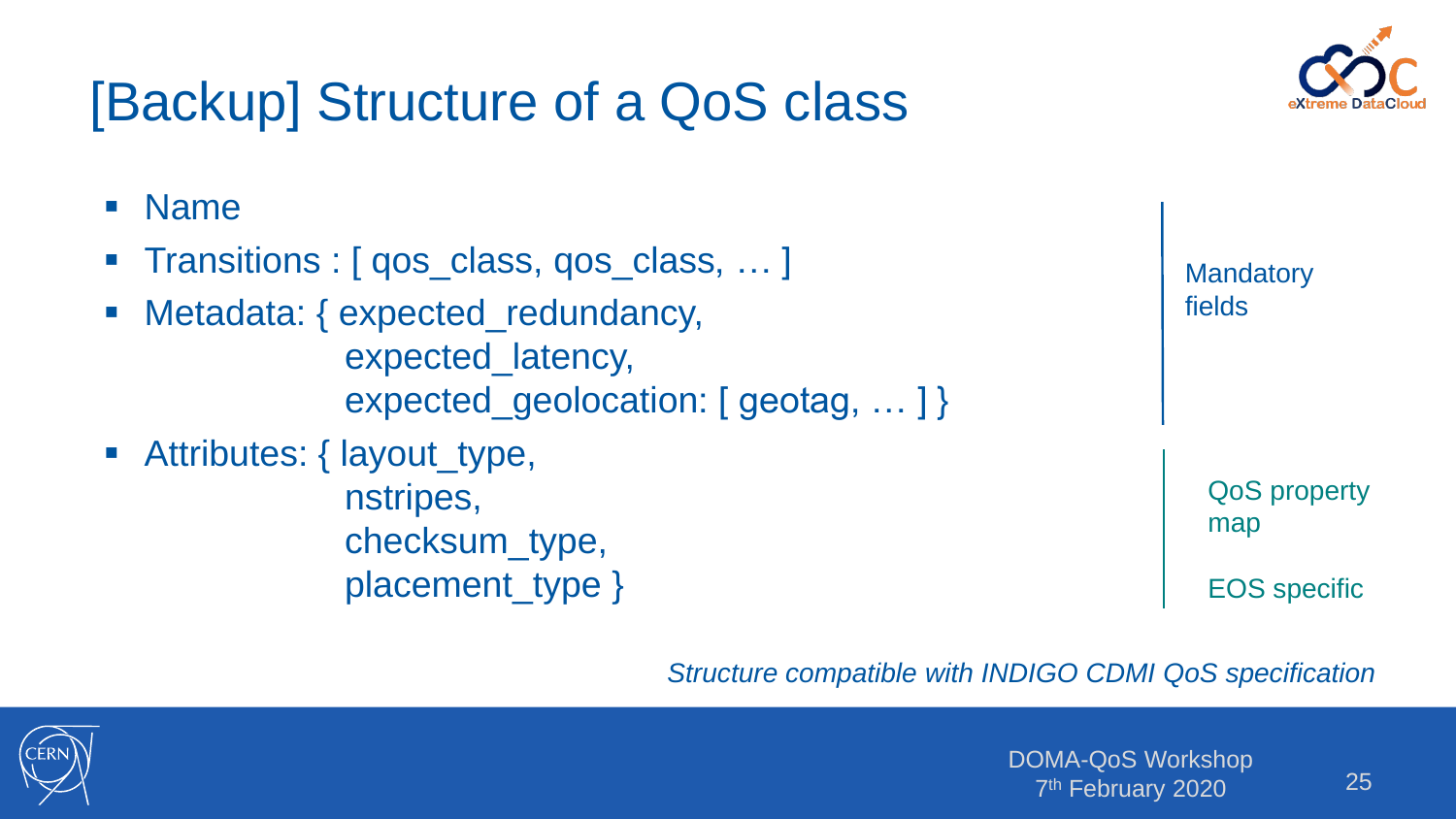

# [Backup] Structure of a QoS class

| <b>Name</b>                                |                     |
|--------------------------------------------|---------------------|
| • Transitions : [ qos_class, qos_class,  ] | <b>Mandatory</b>    |
| • Metadata: { expected_redundancy,         | fields              |
| expected_latency,                          |                     |
| expected_geolocation: [geotag,  ] }        |                     |
| Attributes: { layout_type,                 |                     |
| nstripes,                                  | <b>QoS property</b> |
| checksum_type,                             | map                 |
| placement_type }                           | <b>EOS</b> specific |

*Structure compatible with INDIGO CDMI QoS specification*

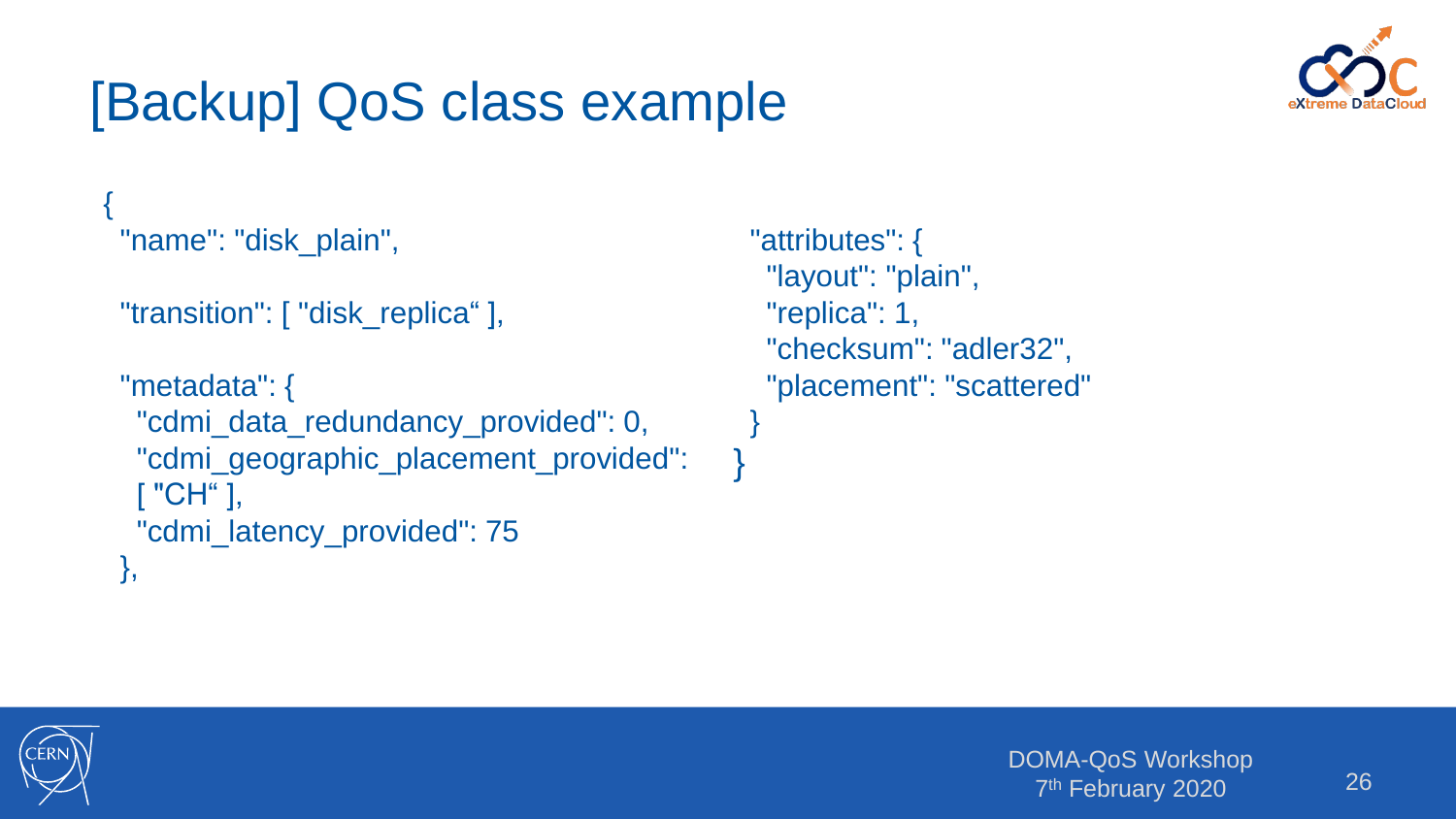# [Backup] QoS class example



```
{
"name": "disk_plain",
 "transition": [ "disk_replica" ],
 "metadata": {
  "cdmi_data_redundancy_provided": 0,
  "cdmi_geographic_placement_provided": 
  [ "CH" ],
  "cdmi_latency_provided": 75
},
```

```
"attributes": {
 "layout": "plain",
 "replica": 1,
 "checksum": "adler32",
 "placement": "scattered"
}
```
}